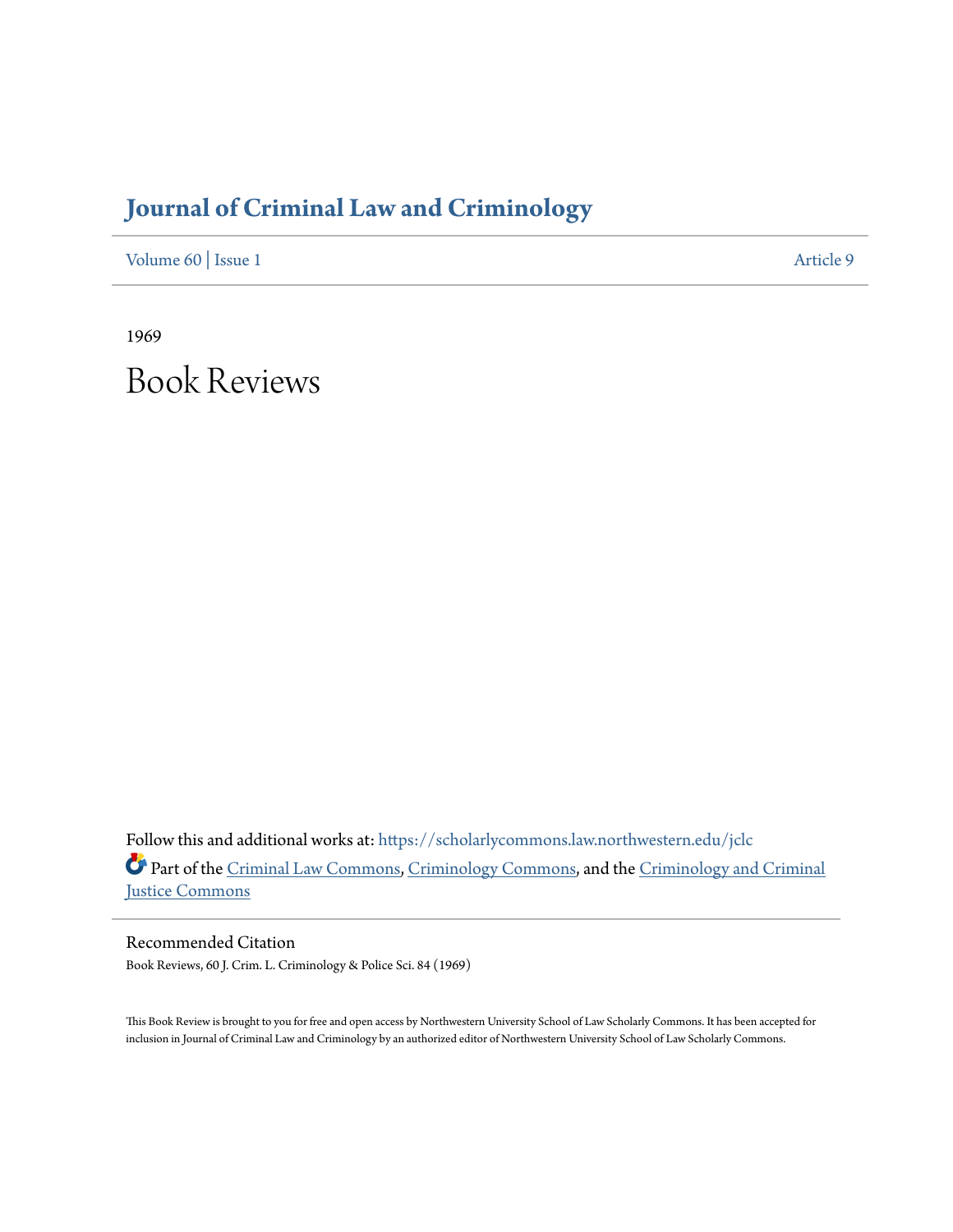## **[Journal of Criminal Law and Criminology](https://scholarlycommons.law.northwestern.edu/jclc?utm_source=scholarlycommons.law.northwestern.edu%2Fjclc%2Fvol60%2Fiss1%2F9&utm_medium=PDF&utm_campaign=PDFCoverPages)**

[Volume 60](https://scholarlycommons.law.northwestern.edu/jclc/vol60?utm_source=scholarlycommons.law.northwestern.edu%2Fjclc%2Fvol60%2Fiss1%2F9&utm_medium=PDF&utm_campaign=PDFCoverPages) | [Issue 1](https://scholarlycommons.law.northwestern.edu/jclc/vol60/iss1?utm_source=scholarlycommons.law.northwestern.edu%2Fjclc%2Fvol60%2Fiss1%2F9&utm_medium=PDF&utm_campaign=PDFCoverPages) [Article 9](https://scholarlycommons.law.northwestern.edu/jclc/vol60/iss1/9?utm_source=scholarlycommons.law.northwestern.edu%2Fjclc%2Fvol60%2Fiss1%2F9&utm_medium=PDF&utm_campaign=PDFCoverPages)

1969

Book Reviews

Follow this and additional works at: [https://scholarlycommons.law.northwestern.edu/jclc](https://scholarlycommons.law.northwestern.edu/jclc?utm_source=scholarlycommons.law.northwestern.edu%2Fjclc%2Fvol60%2Fiss1%2F9&utm_medium=PDF&utm_campaign=PDFCoverPages) Part of the [Criminal Law Commons](http://network.bepress.com/hgg/discipline/912?utm_source=scholarlycommons.law.northwestern.edu%2Fjclc%2Fvol60%2Fiss1%2F9&utm_medium=PDF&utm_campaign=PDFCoverPages), [Criminology Commons](http://network.bepress.com/hgg/discipline/417?utm_source=scholarlycommons.law.northwestern.edu%2Fjclc%2Fvol60%2Fiss1%2F9&utm_medium=PDF&utm_campaign=PDFCoverPages), and the [Criminology and Criminal](http://network.bepress.com/hgg/discipline/367?utm_source=scholarlycommons.law.northwestern.edu%2Fjclc%2Fvol60%2Fiss1%2F9&utm_medium=PDF&utm_campaign=PDFCoverPages) [Justice Commons](http://network.bepress.com/hgg/discipline/367?utm_source=scholarlycommons.law.northwestern.edu%2Fjclc%2Fvol60%2Fiss1%2F9&utm_medium=PDF&utm_campaign=PDFCoverPages)

Recommended Citation Book Reviews, 60 J. Crim. L. Criminology & Police Sci. 84 (1969)

This Book Review is brought to you for free and open access by Northwestern University School of Law Scholarly Commons. It has been accepted for inclusion in Journal of Criminal Law and Criminology by an authorized editor of Northwestern University School of Law Scholarly Commons.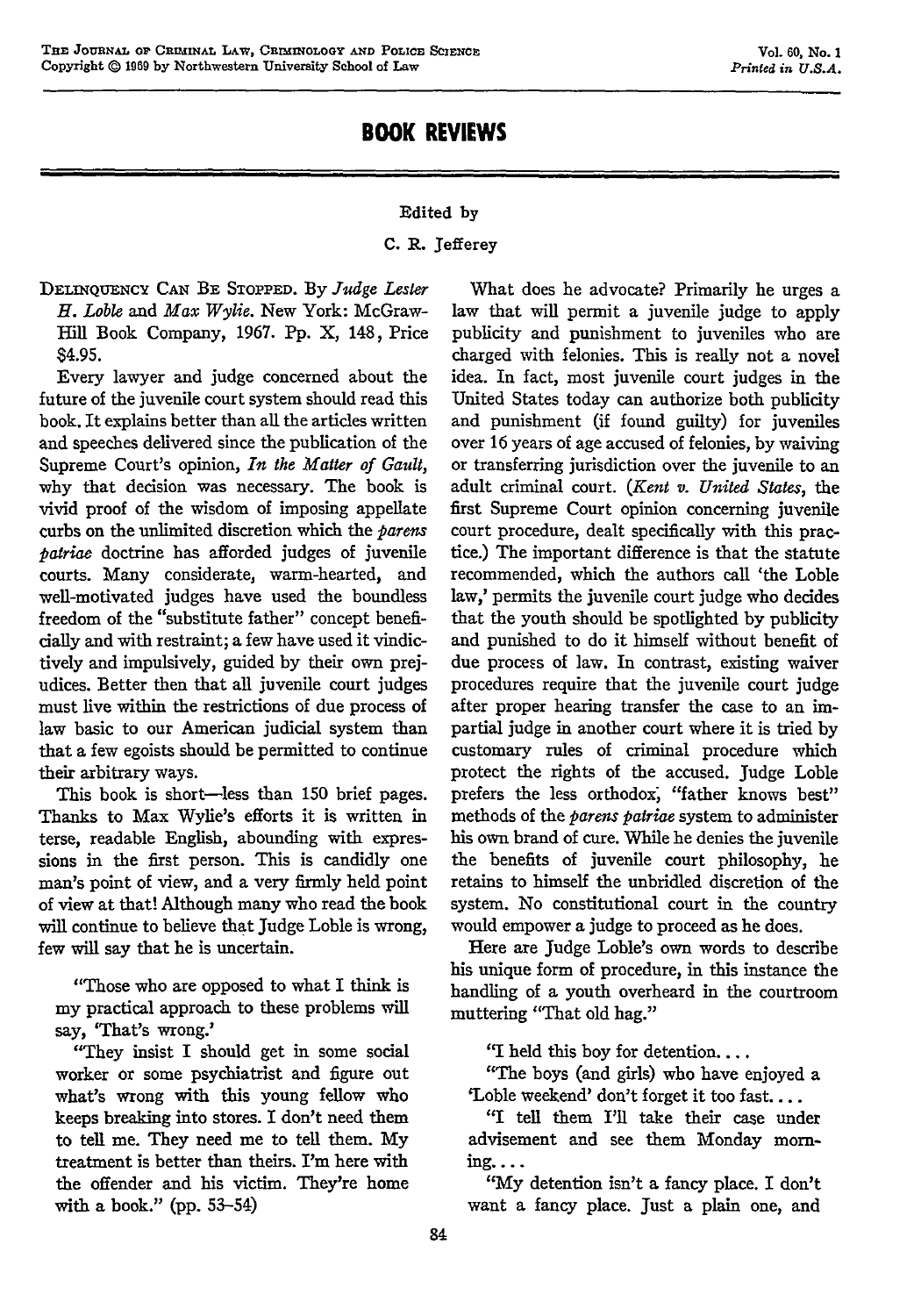## Edited **by**

## **C.** R. Jefferey

**DELINQUENCY CAN** BE **STOPPED. By** *Judge Lester H. Loble and Max Wylie.* New York: McGraw-Hill Book Company, 1967. **Pp.** X, 148, Price \$4.95.

Every lawyer and judge concerned about the future of the juvenile court system should read this book. It explains better than all the articles written and speeches delivered since the publication of the Supreme Court's opinion, In *the Matter of Gault,* why that decision was necessary. The book is vivid proof of the wisdom of imposing appellate curbs on the unlimited discretion which the *parens patriae* doctrine has afforded judges of juvenile courts. Many considerate, warm-hearted, and well-motivated judges have used the boundless freedom of the "substitute father" concept beneficially and with restraint; a few have used it vindictively and impulsively, guided by their own prejudices. Better then that all juvenile court judges must live within the restrictions of due process of law basic to our American judicial system than that a few egoists should be permitted to continue their arbitrary ways.

This book is short-less than **150** brief pages. Thanks to Max Wylie's efforts it is written in terse, readable English, abounding with expressions in the first person. This is candidly one man's point of view, and a very firmly held point of view at that! Although many who read the book will continue to believe that Judge Loble is wrong, few will say that he is uncertain.

"Those who are opposed to what I think is my practical approach to these problems will say, 'That's wrong.'

"They insist I should get in some social worker or some psychiatrist and figure out what's wrong with this young fellow who keeps breaking into stores. I don't need them to tell me. They need me to tell them. My treatment is better than theirs. I'm here with the offender and his victim. They're home with a book." (pp. 53-54)

What does he advocate? Primarily he urges a law that will permit a juvenile judge to apply publicity and punishment to juveniles who are charged with felonies. This is really not a novel idea. In fact, most juvenile court judges in the United States today can authorize both publicity and punishment (if found guilty) for juveniles over 16 years of age accused of felonies, by waiving or transferring jurisdiction over the juvenile to an adult criminal court. *(Kent v. United States,* the first Supreme Court opinion concerning juvenile court procedure, dealt specifically with this practice.) The important difference is that the statute recommended, which the authors call 'the Loble law,' permits the juvenile court judge who decides that the youth should be spotlighted by publicity and punished to do it himself without benefit of due process of law. In contrast, existing waiver procedures require that the juvenile court judge after proper hearing transfer the case to an impartial judge in another court where it is tried by customary rules of criminal procedure which protect the rights of the accused. Judge Loble prefers the less orthodox, "father knows best" methods of the *parens patriae* system to administer his own brand of cure. While he denies the juvenile the benefits of juvenile court philosophy, he retains to himself the unbridled discretion of the system. No constitutional court in the country would empower a judge to proceed as he does.

Here are Judge Loble's own words to describe his unique form of procedure, in this instance the handling of a youth overheard in the courtroom muttering "That old hag."

"I held this boy for detention....

"The boys (and girls) who have enjoyed a 'Loble weekend' don't forget it too fast....

"I tell them I'll take their case under advisement and see them Monday **morn**ing....

**"My** detention isn't a fancy place. I don't want a fancy place. Just a plain one, and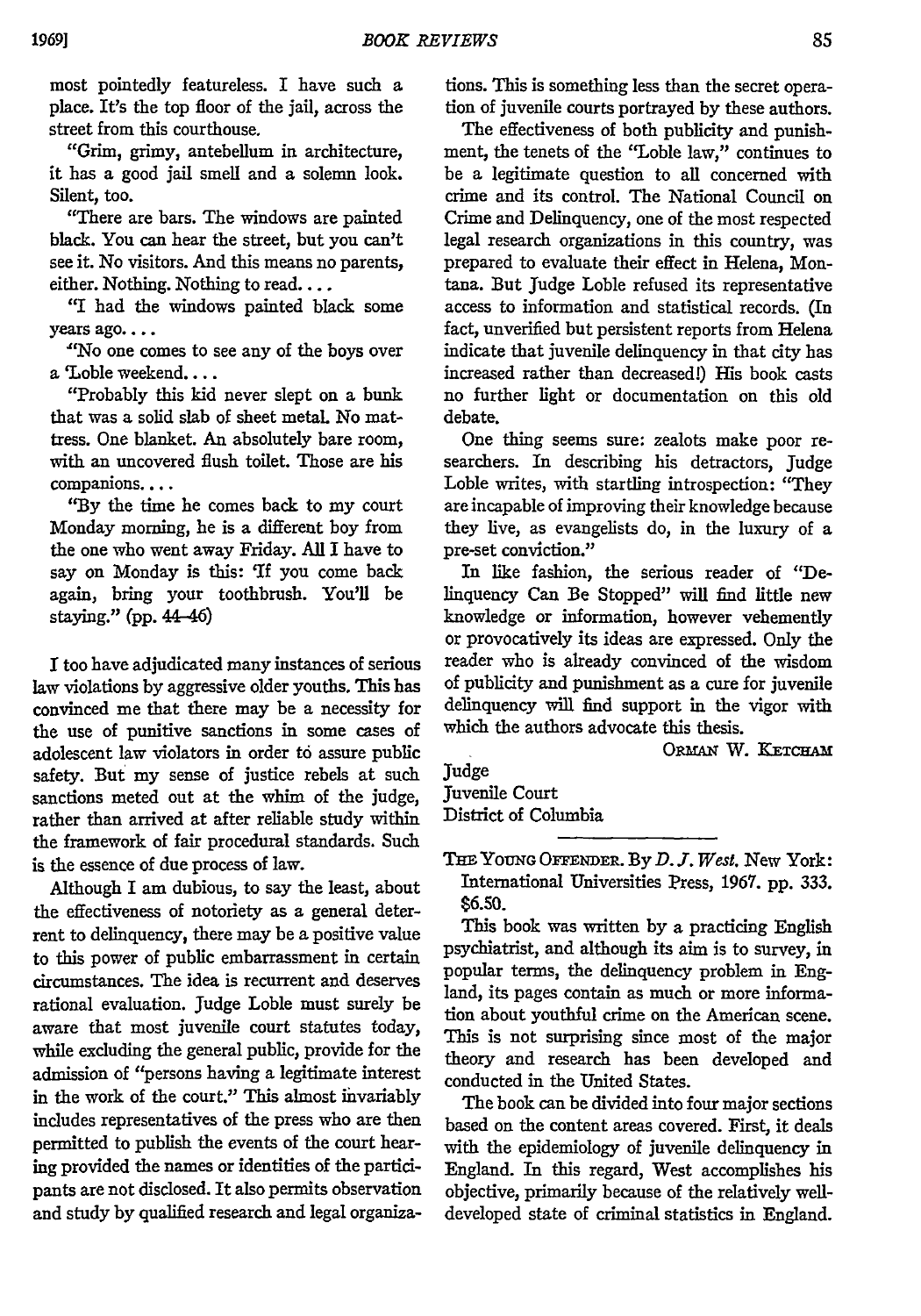most pointedly featureless. I have such a place. It's the top floor of the jail, across the street from this courthouse.

"Grim, grimy, antebellum in architecture, it has a good jail smell and a solemn look. Silent, too.

"There are bars. The windows are painted black. You can hear the street, but you can't see it. No visitors. And this means no parents, either. Nothing. Nothing to read....

"I had the windows painted black some years ago....

"No one comes to see any of the boys over a 'Loble weekend....

"Probably this kid never slept on a bunk that was a solid slab of sheet metal. No mattress. One blanket. An absolutely bare room, with an uncovered flush toilet. Those are his companions....

**'By** the time he comes back to my court Monday morning, he is a different boy from the one who went away Friday. **All** I have to say on Monday is this: 'If you come back again, bring your toothbrush. You'll be staying." **(pp.** 44-46)

I too have adjudicated many instances of serious law violations **by** aggressive older youths. This has convinced me that there may be a necessity for the use of punitive sanctions in some cases of adolescent law violators in order to assure public safety. But my sense of justice rebels at such sanctions meted out at the whim of the judge, rather than arrived at after reliable study within the framework of fair procedural standards. Such is the essence of due process of law.

Although I am dubious, to say the least, about the effectiveness of notoriety as a general deterrent to delinquency, there may be a positive value to this power of public embarrassment in certain circumstances. The idea is recurrent and deserves rational evaluation. Judge Loble must surely be aware that most juvenile court statutes today, while excluding the general public, provide for the admission of "persons having a legitimate interest in the work of the court." This almost invariably includes representatives of the press who are then permitted to publish the events of the court hearing provided the names or identities of the participants are not disclosed. It also permits observation and study by qualified research and legal organiza-

tions. This is something less than the secret operation of juvenile courts portrayed by these authors.

The effectiveness of both publicity and punishment, the tenets of the "Loble law," continues to be a legitimate question to all concerned with crime and its control. The National Council on Crime and Delinquency, one of the most respected legal research organizations in this country, was prepared to evaluate their effect in Helena, Montana. But Judge Loble refused its representative access to information and statistical records. (In fact, unverified but persistent reports from Helena indicate that juvenile delinquency in that city has increased rather than decreased!) His book casts no further light or documentation on this old debate.

One thing seems sure: zealots make poor researchers. In describing his detractors, Judge Loble writes, with startling introspection: "They are incapable of improving their knowledge because they live, as evangelists do, in the luxury of a pre-set conviction."

In like fashion, the serious reader of "Delinquency Can Be Stopped" will find little new knowledge or information, however vehemently or provocatively its ideas are expressed. Only the reader who is already convinced of the wisdom of publicity and punishment as a cure for juvenile delinquency will find support in the vigor with which the authors advocate this thesis.

**ORMsAl** W. **KETcHAM**

Judge Juvenile Court District of Columbia

**THE YOUNG** O **ENDER. By** *D. J. West.* New York: International Universities Press, 1967. pp. 333. \$6.50.

This book was written **by** a practicing English psychiatrist, and although its aim is to survey, in popular terms, the delinquency problem in England, its pages contain as much or more information about youthful crime on the American scene. This is not surprising since most of the major theory and research has been developed and conducted in the United States.

The book can be divided into four major sections based on the content areas covered. First, it deals with the epidemiology of juvenile delinquency in England. In this regard, West accomplishes his objective, primarily because of the relatively welldeveloped state of criminal statistics in England.